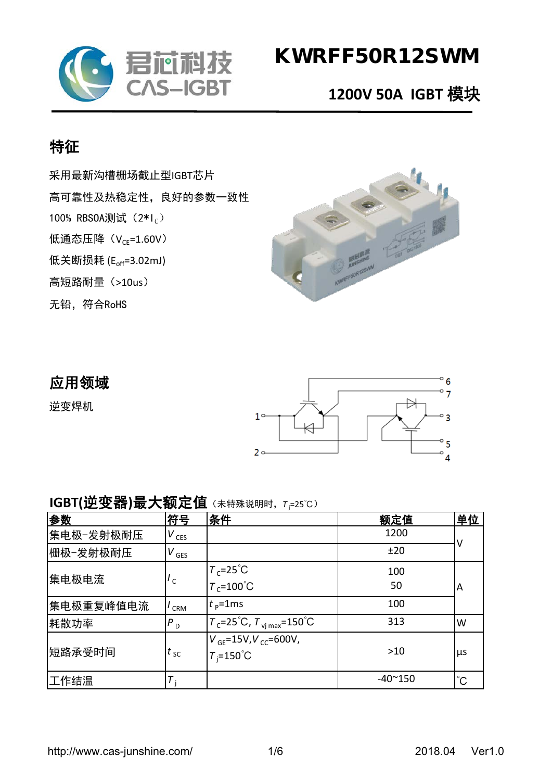

# KWRFF50R12SWM

## **1200V 50A IGBT** 模块

## 特征

采用最新沟槽栅场截止型IGBT芯片 高可靠性及热稳定性,良好的参数一致性 100% RBS0A测试  $(2 * I_C)$ 低通态压降 $(V_{CE} = 1.60V)$ 低关断损耗 (E<sub>off</sub>=3.02mJ) 高短路耐量(>10us) 无铅,符合RoHS



### 应用领域

逆变焊机



#### **IGBT(**逆变器**)**最大额定值(未特殊说明时,*<sup>T</sup>* <sup>j</sup> =25℃)

| 参数        | 符号               | 条件                                                       | 额定值             | 单位          |
|-----------|------------------|----------------------------------------------------------|-----------------|-------------|
| 集电极−发射极耐压 | $V_{CES}$        |                                                          | 1200            |             |
| 栅极-发射极耐压  | $V_{\text{GES}}$ |                                                          | ±20             |             |
| 集电极电流     | $^{\prime}$ c    | $T_c = 25^{\circ}C$                                      | 100             | A           |
|           |                  | $T_c = 100^{\circ}$ C                                    | 50              |             |
| 集电极重复峰值电流 | CRM              | $t_{\rm p}$ =1ms                                         | 100             |             |
| 耗散功率      | $P_{D}$          | $T_c = 25^{\circ}C$ , $T_{\text{vi max}} = 150^{\circ}C$ | 313             | W           |
| 短路承受时间    | $t_{\rm sc}$     | $V_{GF} = 15V, V_{CC} = 600V,$<br>$T_i = 150^{\circ}$ C  | $>10$           | <b>LLS</b>  |
| 工作结温      | т                |                                                          | $-40^{\sim}150$ | $^{\circ}C$ |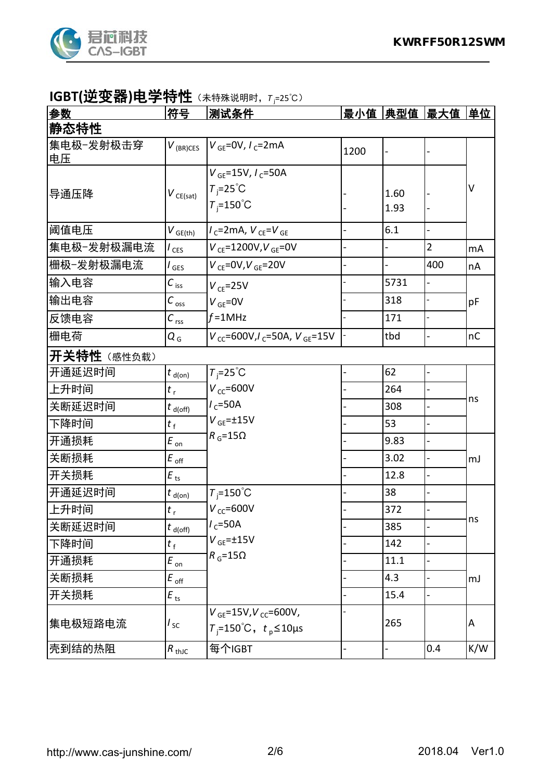

#### **IGBT(**逆变器**)**电学特性(未特殊说明时,*<sup>T</sup>* <sup>j</sup> =25℃)

| 参数              | 符号                             | 测试条件                                      |      | 最小值  典型值  最大值  单位 |                |     |
|-----------------|--------------------------------|-------------------------------------------|------|-------------------|----------------|-----|
| 静态特性            |                                |                                           |      |                   |                |     |
| 集电极-发射极击穿<br>电压 | $V_{(BR)CES}$                  | $V_{GE}$ =0V, $I_{C}$ =2mA                | 1200 |                   |                |     |
|                 |                                | $V_{GF}$ =15V, $I_C$ =50A                 |      |                   |                |     |
| 导通压降            | $V_{CE(sat)}$                  | $T_i = 25^{\circ}C$                       |      | 1.60              |                | V   |
|                 |                                | $T_i = 150^{\circ}$ C                     |      | 1.93              |                |     |
| 阈值电压            | $V_{GE(th)}$                   | $1_{c}$ =2mA, $V_{CE}$ = $V_{GE}$         |      | 6.1               |                |     |
| 集电极-发射极漏电流      | $I_{\text{CES}}$               | $V_{CF} = 1200V, V_{GE} = 0V$             |      |                   | $\overline{2}$ | mA  |
| 栅极-发射极漏电流       | l <sub>GES</sub>               | $V_{CE} = 0V, V_{GE} = 20V$               |      |                   | 400            | nA  |
| 输入电容            | $C_{\,\mathrm{iss}}$           | $V_{CF} = 25V$                            |      | 5731              |                |     |
| 输出电容            | $C_{\text{oss}}$               | $V_{GF} = 0V$                             |      | 318               |                | pF  |
| 反馈电容            | $C_{\text{rss}}$               | $f = 1$ MHz                               |      | 171               |                |     |
| 栅电荷             | $Q_{G}$                        | $V_{cc}$ =600V, $I_c$ =50A, $V_{GE}$ =15V |      | tbd               |                | nC  |
| 开关特性 (感性负载)     |                                |                                           |      |                   |                |     |
| 开通延迟时间          | $t_{\text{d}(on)}$             | $T_i = 25^{\circ}C$                       |      | 62                |                |     |
| 上升时间            | $t_{r}$                        | $V_{cc}$ =600V                            |      | 264               |                |     |
| 关断延迟时间          | $t_{d(off)}$                   | $I_c = 50A$                               |      | 308               |                | ns  |
| 下降时间            | $t_{\rm f}$                    | $V$ <sub>GE</sub> = $\pm$ 15V             |      | 53                |                |     |
| 开通损耗            | $E_{on}$                       | $R_{G} = 15\Omega$                        |      | 9.83              | L,             |     |
| 关断损耗            | $E_{\mathsf{\,off}}$           |                                           |      | 3.02              | $\overline{a}$ | mJ  |
| 开关损耗            | $E_{\text{ts}}$                |                                           |      | 12.8              |                |     |
| 开通延迟时间          | $t_{\text{d}(on)}$             | $T_i = 150^{\circ}$ C                     |      | 38                |                |     |
| 上升时间            | $t_{r}$                        | $V_{\text{CC}}$ =600V                     |      | 372               |                |     |
| 关断延迟时间          | $t_{\mathsf{d}(\mathsf{off})}$ | $I_c = 50A$                               |      | 385               |                | ns  |
| 下降时间            | $t_{\rm f}$                    | $V$ <sub>GE</sub> = $\pm$ 15V             |      | 142               |                |     |
| 开通损耗            | $E_{\text{on}}$                | $R_{G} = 15\Omega$                        |      | 11.1              |                |     |
| 关断损耗            | $E_{\mathsf{\,off}}$           |                                           |      | 4.3               |                | mJ  |
| 开关损耗            | $E_{\text{ts}}$                |                                           |      | 15.4              |                |     |
|                 |                                | $V_{GE}$ =15V, $V_{CC}$ =600V,            |      |                   |                |     |
| 集电极短路电流         | $I_{\rm SC}$                   | $T_i$ =150°C, $t_p$ ≤10µs                 |      | 265               |                | A   |
| 壳到结的热阻          | $R_{\text{thJC}}$              | 每个IGBT                                    |      |                   | 0.4            | K/W |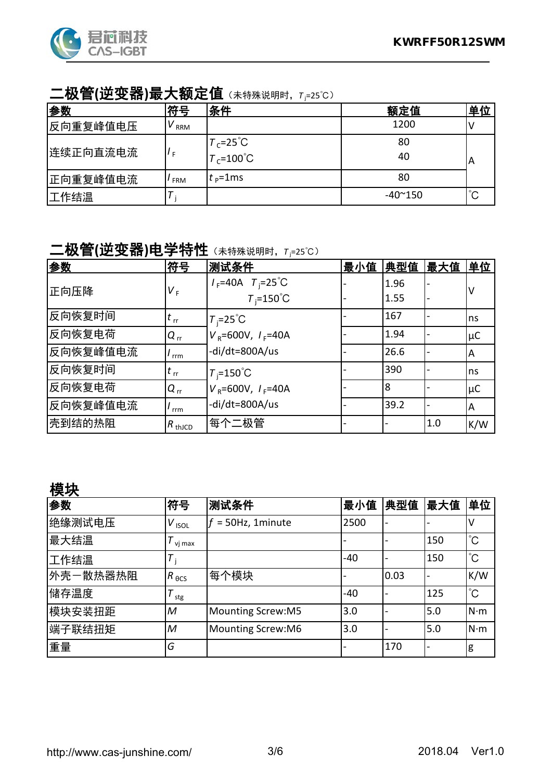

#### 二极管(逆变器)最大额定值 (未特殊说明时, Tյ=25℃)

| 参数       | 符号         | 条件                                                    | 额定值             | 单位          |
|----------|------------|-------------------------------------------------------|-----------------|-------------|
| 反向重复峰值电压 | v<br>RRM   |                                                       | 1200            |             |
| 连续正向直流电流 |            | $T_c$ =25 <sup>°</sup> C<br>$T_c$ =100 <sup>°</sup> C | 80<br>40        | A           |
| 正向重复峰值电流 | <b>FRM</b> | $t_{\rm p}$ =1ms                                      | 80              |             |
| 工作结温     |            |                                                       | $-40^{\sim}150$ | $^{\circ}C$ |

#### 二极管(逆变器)电学特性 (未特殊说明时, Tյ=25℃)

| 参数       | 符号                 | 测试条件                            | 最小值 | 典型值  | 最大值 | 单位      |
|----------|--------------------|---------------------------------|-----|------|-----|---------|
| 正向压降     | V <sub>F</sub>     | $I_F = 40A$ $T_i = 25^{\circ}C$ |     | 1.96 |     |         |
|          |                    | $T_i = 150^{\circ}C$            |     | 1.55 |     |         |
| 反向恢复时间   | $t_{\rm rr}$       | $T_i = 25^{\circ}C$             |     | 167  |     | ns      |
| 反向恢复电荷   | $Q_{rr}$           | $V_R = 600V, I_F = 40A$         |     | 1.94 |     | $\mu$ C |
| 反向恢复峰值电流 | rrm                | -di/dt=800A/us                  |     | 26.6 |     | ΙA      |
| 反向恢复时间   | $t_{\rm rr}$       | $T_i = 150^{\circ}$ C           |     | 390  |     | ns      |
| 反向恢复电荷   | $Q_{rr}$           | $V_R = 600V, I_F = 40A$         |     | 8    |     | $\mu$ C |
| 反向恢复峰值电流 | rrm                | -di/dt=800A/us                  |     | 39.2 |     | ΙA      |
| 壳到结的热阻   | $R_{\text{thJCD}}$ | 每个二极管                           |     |      | 1.0 | K/W     |

#### 模块

| 参数       | 符号              | 测试条件                     | 最小值   | 典型值  | 最大值 | 单位           |
|----------|-----------------|--------------------------|-------|------|-----|--------------|
| 绝缘测试电压   | $V_{ISOL}$      | = 50Hz, 1minute          | 2500  |      |     | v            |
| 最大结温     | vi max          |                          |       |      | 150 | $^{\circ}C$  |
| 工作结温     | T               |                          | -40   |      | 150 | $^{\circ}C$  |
| 外壳一散热器热阻 | $R_{\theta CS}$ | 每个模块                     |       | 0.03 |     | K/W          |
| 储存温度     | т<br>stg        |                          | $-40$ |      | 125 | $^{\circ}$ C |
| 模块安装扭距   | $\mathcal M$    | <b>Mounting Screw:M5</b> | 3.0   |      | 5.0 | $N \cdot m$  |
| 端子联结扭矩   | $\overline{M}$  | <b>Mounting Screw:M6</b> | 3.0   |      | 5.0 | $N \cdot m$  |
| 重量       | G               |                          |       | 170  |     | g            |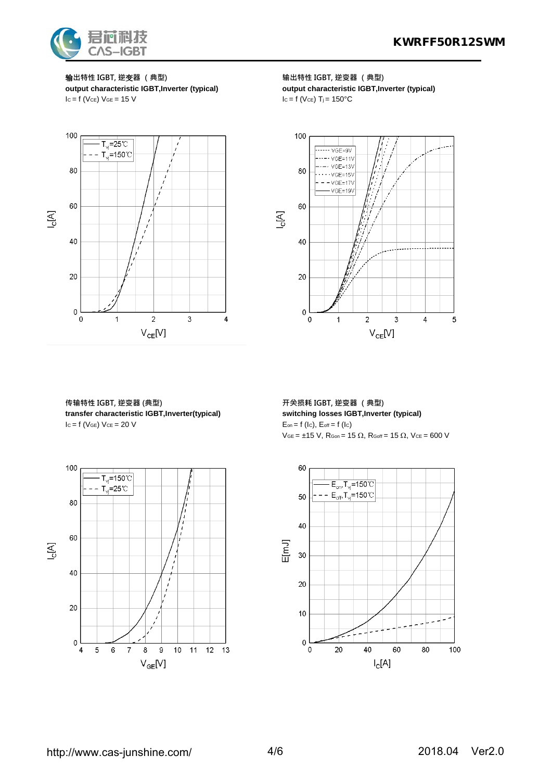

 $I_c = f$  (Vce)  $V_{GE} = 15$  V



**传输特性 IGBT, 逆变器 (典型) 开关损耗 IGBT, 逆变器 (典型) transfer characteristic IGBT,Inverter(typical) switching losses IGBT,Inverter (typical)**  $I_c = f (V_{GE}) V_{CE} = 20 V$   $E_{on} = f (I_c)$ ,  $E_{off} = f (I_c)$ 



输**出特性 IGBT, 逆**变**器 (典型) 输出特性 IGBT, 逆变器 (典型) output characteristic IGBT,Inverter (typical) output characteristic IGBT,Inverter (typical)**<br>  $I_c = f (V_{CE}) T_i = 150°C$ 



 $VGE = ±15 V$ ,  $RGon = 15 \Omega$ ,  $RGoff = 15 \Omega$ ,  $VCE = 600 V$ 

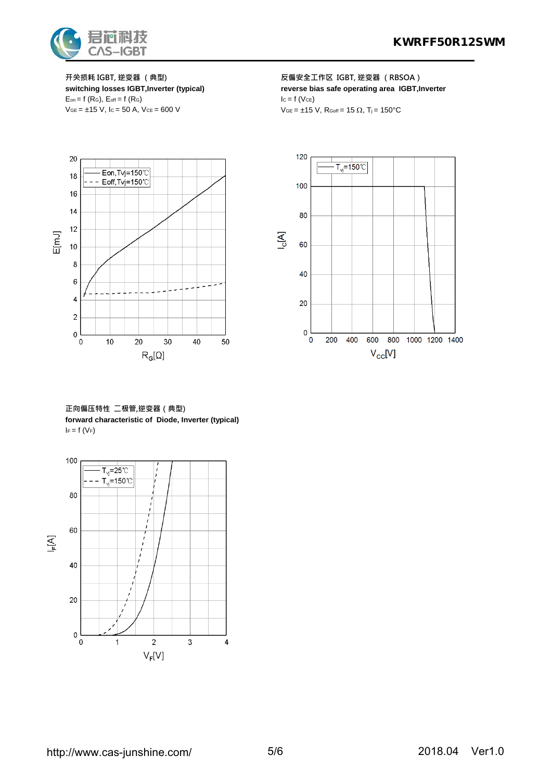

 $E_{on} = f(R_G)$ ,  $E_{off} = f(R_G)$  $VGE = \pm 15 \text{ V}, \text{ } 1c = 50 \text{ A}, \text{ } VCE = 600 \text{ V}$   $VGE = \pm 15 \text{ V}, \text{ } R_{Goff} = 15 \Omega, \text{ } T_j = 150^{\circ} \text{C}$ 

**开关损耗 IGBT, 逆变器 (典型) 反偏安全工作区 IGBT, 逆变器 (RBSOA) switching losses IGBT,Inverter (typical) reverse bias safe operating area IGBT,Inverter**<br>  $E_{on} = f(R_G)$ ,  $E_{off} = f(R_G)$ 



**正向偏压特性 二极管,逆变器(典型) forward characteristic of Diode, Inverter (typical)**  $I_F = f(V_F)$